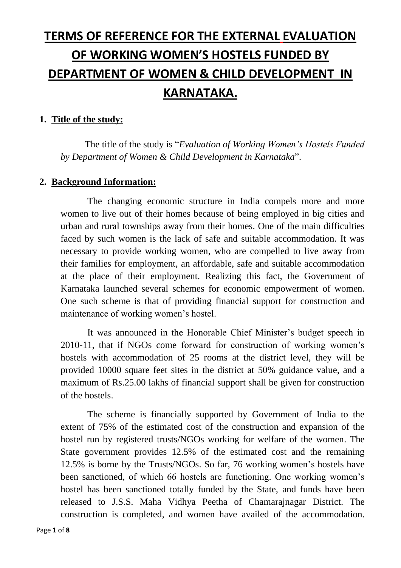# **TERMS OF REFERENCE FOR THE EXTERNAL EVALUATION OF WORKING WOMEN'S HOSTELS FUNDED BY DEPARTMENT OF WOMEN & CHILD DEVELOPMENT IN KARNATAKA.**

#### **1. Title of the study:**

The title of the study is "*Evaluation of Working Women's Hostels Funded by Department of Women & Child Development in Karnataka*".

#### **2. Background Information:**

The changing economic structure in India compels more and more women to live out of their homes because of being employed in big cities and urban and rural townships away from their homes. One of the main difficulties faced by such women is the lack of safe and suitable accommodation. It was necessary to provide working women, who are compelled to live away from their families for employment, an affordable, safe and suitable accommodation at the place of their employment. Realizing this fact, the Government of Karnataka launched several schemes for economic empowerment of women. One such scheme is that of providing financial support for construction and maintenance of working women's hostel.

It was announced in the Honorable Chief Minister's budget speech in 2010-11, that if NGOs come forward for construction of working women's hostels with accommodation of 25 rooms at the district level, they will be provided 10000 square feet sites in the district at 50% guidance value, and a maximum of Rs.25.00 lakhs of financial support shall be given for construction of the hostels.

The scheme is financially supported by Government of India to the extent of 75% of the estimated cost of the construction and expansion of the hostel run by registered trusts/NGOs working for welfare of the women. The State government provides 12.5% of the estimated cost and the remaining 12.5% is borne by the Trusts/NGOs. So far, 76 working women's hostels have been sanctioned, of which 66 hostels are functioning. One working women's hostel has been sanctioned totally funded by the State, and funds have been released to J.S.S. Maha Vidhya Peetha of Chamarajnagar District. The construction is completed, and women have availed of the accommodation.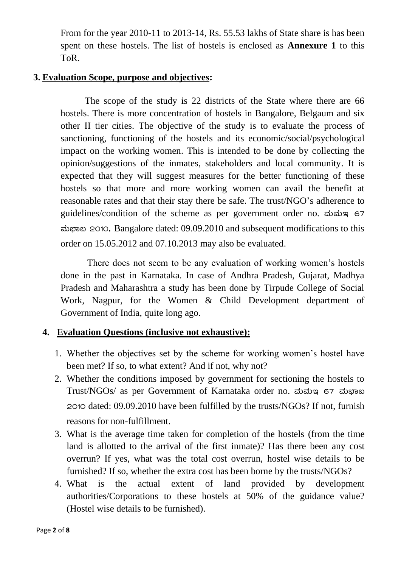From for the year 2010-11 to 2013-14, Rs. 55.53 lakhs of State share is has been spent on these hostels. The list of hostels is enclosed as **Annexure 1** to this ToR.

#### **3. Evaluation Scope, purpose and objectives:**

The scope of the study is 22 districts of the State where there are 66 hostels. There is more concentration of hostels in Bangalore, Belgaum and six other II tier cities. The objective of the study is to evaluate the process of sanctioning, functioning of the hostels and its economic/social/psychological impact on the working women. This is intended to be done by collecting the opinion/suggestions of the inmates, stakeholders and local community. It is expected that they will suggest measures for the better functioning of these hostels so that more and more working women can avail the benefit at reasonable rates and that their stay there be safe. The trust/NGO's adherence to guidelines/condition of the scheme as per government order no. www.  $\omega$ gas 2010, Bangalore dated: 09.09.2010 and subsequent modifications to this order on 15.05.2012 and 07.10.2013 may also be evaluated.

There does not seem to be any evaluation of working women's hostels done in the past in Karnataka. In case of Andhra Pradesh, Gujarat, Madhya Pradesh and Maharashtra a study has been done by Tirpude College of Social Work, Nagpur, for the Women & Child Development department of Government of India, quite long ago.

#### **4. Evaluation Questions (inclusive not exhaustive):**

- 1. Whether the objectives set by the scheme for working women's hostel have been met? If so, to what extent? And if not, why not?
- 2. Whether the conditions imposed by government for sectioning the hostels to Trust/NGOs/ as per Government of Karnataka order no. ಮಮಇ 67 ಮಭಾಬ 2010 dated: 09.09.2010 have been fulfilled by the trusts/NGOs? If not, furnish reasons for non-fulfillment.
- 3. What is the average time taken for completion of the hostels (from the time land is allotted to the arrival of the first inmate)? Has there been any cost overrun? If yes, what was the total cost overrun, hostel wise details to be furnished? If so, whether the extra cost has been borne by the trusts/NGOs?
- 4. What is the actual extent of land provided by development authorities/Corporations to these hostels at 50% of the guidance value? (Hostel wise details to be furnished).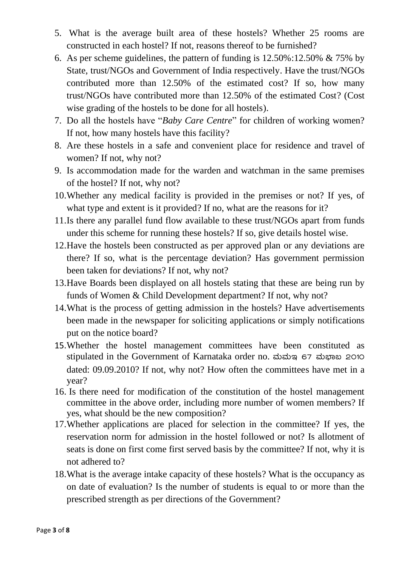- 5. What is the average built area of these hostels? Whether 25 rooms are constructed in each hostel? If not, reasons thereof to be furnished?
- 6. As per scheme guidelines, the pattern of funding is 12.50%:12.50% & 75% by State, trust/NGOs and Government of India respectively. Have the trust/NGOs contributed more than 12.50% of the estimated cost? If so, how many trust/NGOs have contributed more than 12.50% of the estimated Cost? (Cost wise grading of the hostels to be done for all hostels).
- 7. Do all the hostels have "*Baby Care Centre*" for children of working women? If not, how many hostels have this facility?
- 8. Are these hostels in a safe and convenient place for residence and travel of women? If not, why not?
- 9. Is accommodation made for the warden and watchman in the same premises of the hostel? If not, why not?
- 10.Whether any medical facility is provided in the premises or not? If yes, of what type and extent is it provided? If no, what are the reasons for it?
- 11.Is there any parallel fund flow available to these trust/NGOs apart from funds under this scheme for running these hostels? If so, give details hostel wise.
- 12.Have the hostels been constructed as per approved plan or any deviations are there? If so, what is the percentage deviation? Has government permission been taken for deviations? If not, why not?
- 13.Have Boards been displayed on all hostels stating that these are being run by funds of Women & Child Development department? If not, why not?
- 14.What is the process of getting admission in the hostels? Have advertisements been made in the newspaper for soliciting applications or simply notifications put on the notice board?
- 15.Whether the hostel management committees have been constituted as stipulated in the Government of Karnataka order no. ಮಮ $\alpha$  67 ಮಭಾಖ 2010 dated: 09.09.2010? If not, why not? How often the committees have met in a year?
- 16. Is there need for modification of the constitution of the hostel management committee in the above order, including more number of women members? If yes, what should be the new composition?
- 17.Whether applications are placed for selection in the committee? If yes, the reservation norm for admission in the hostel followed or not? Is allotment of seats is done on first come first served basis by the committee? If not, why it is not adhered to?
- 18.What is the average intake capacity of these hostels? What is the occupancy as on date of evaluation? Is the number of students is equal to or more than the prescribed strength as per directions of the Government?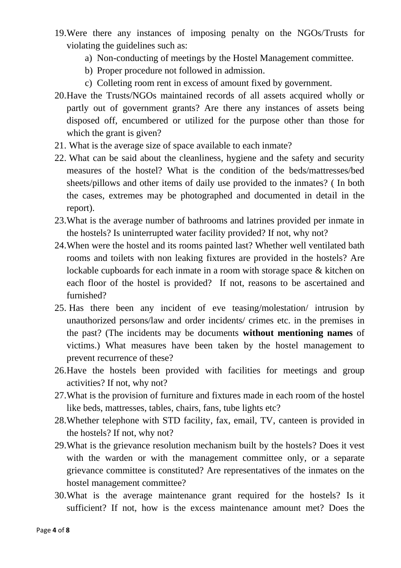- 19.Were there any instances of imposing penalty on the NGOs/Trusts for violating the guidelines such as:
	- a) Non-conducting of meetings by the Hostel Management committee.
	- b) Proper procedure not followed in admission.
	- c) Colleting room rent in excess of amount fixed by government.
- 20.Have the Trusts/NGOs maintained records of all assets acquired wholly or partly out of government grants? Are there any instances of assets being disposed off, encumbered or utilized for the purpose other than those for which the grant is given?
- 21. What is the average size of space available to each inmate?
- 22. What can be said about the cleanliness, hygiene and the safety and security measures of the hostel? What is the condition of the beds/mattresses/bed sheets/pillows and other items of daily use provided to the inmates? ( In both the cases, extremes may be photographed and documented in detail in the report).
- 23.What is the average number of bathrooms and latrines provided per inmate in the hostels? Is uninterrupted water facility provided? If not, why not?
- 24.When were the hostel and its rooms painted last? Whether well ventilated bath rooms and toilets with non leaking fixtures are provided in the hostels? Are lockable cupboards for each inmate in a room with storage space & kitchen on each floor of the hostel is provided? If not, reasons to be ascertained and furnished?
- 25. Has there been any incident of eve teasing/molestation/ intrusion by unauthorized persons/law and order incidents/ crimes etc. in the premises in the past? (The incidents may be documents **without mentioning names** of victims.) What measures have been taken by the hostel management to prevent recurrence of these?
- 26.Have the hostels been provided with facilities for meetings and group activities? If not, why not?
- 27.What is the provision of furniture and fixtures made in each room of the hostel like beds, mattresses, tables, chairs, fans, tube lights etc?
- 28.Whether telephone with STD facility, fax, email, TV, canteen is provided in the hostels? If not, why not?
- 29.What is the grievance resolution mechanism built by the hostels? Does it vest with the warden or with the management committee only, or a separate grievance committee is constituted? Are representatives of the inmates on the hostel management committee?
- 30.What is the average maintenance grant required for the hostels? Is it sufficient? If not, how is the excess maintenance amount met? Does the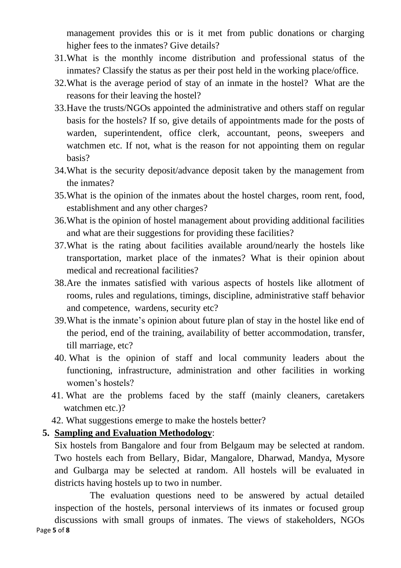management provides this or is it met from public donations or charging higher fees to the inmates? Give details?

- 31.What is the monthly income distribution and professional status of the inmates? Classify the status as per their post held in the working place/office.
- 32.What is the average period of stay of an inmate in the hostel? What are the reasons for their leaving the hostel?
- 33.Have the trusts/NGOs appointed the administrative and others staff on regular basis for the hostels? If so, give details of appointments made for the posts of warden, superintendent, office clerk, accountant, peons, sweepers and watchmen etc. If not, what is the reason for not appointing them on regular basis?
- 34.What is the security deposit/advance deposit taken by the management from the inmates?
- 35.What is the opinion of the inmates about the hostel charges, room rent, food, establishment and any other charges?
- 36.What is the opinion of hostel management about providing additional facilities and what are their suggestions for providing these facilities?
- 37.What is the rating about facilities available around/nearly the hostels like transportation, market place of the inmates? What is their opinion about medical and recreational facilities?
- 38.Are the inmates satisfied with various aspects of hostels like allotment of rooms, rules and regulations, timings, discipline, administrative staff behavior and competence, wardens, security etc?
- 39.What is the inmate's opinion about future plan of stay in the hostel like end of the period, end of the training, availability of better accommodation, transfer, till marriage, etc?
- 40. What is the opinion of staff and local community leaders about the functioning, infrastructure, administration and other facilities in working women's hostels?
- 41. What are the problems faced by the staff (mainly cleaners, caretakers watchmen etc.)?
- 42. What suggestions emerge to make the hostels better?

#### **5. Sampling and Evaluation Methodology**:

Six hostels from Bangalore and four from Belgaum may be selected at random. Two hostels each from Bellary, Bidar, Mangalore, Dharwad, Mandya, Mysore and Gulbarga may be selected at random. All hostels will be evaluated in districts having hostels up to two in number.

Page **5** of **8** The evaluation questions need to be answered by actual detailed inspection of the hostels, personal interviews of its inmates or focused group discussions with small groups of inmates. The views of stakeholders, NGOs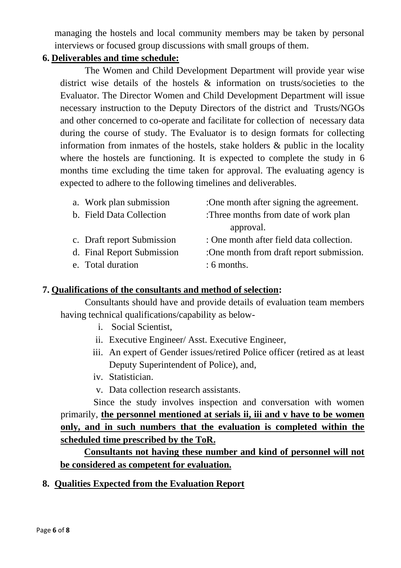managing the hostels and local community members may be taken by personal interviews or focused group discussions with small groups of them.

#### **6. Deliverables and time schedule:**

The Women and Child Development Department will provide year wise district wise details of the hostels & information on trusts/societies to the Evaluator. The Director Women and Child Development Department will issue necessary instruction to the Deputy Directors of the district and Trusts/NGOs and other concerned to co-operate and facilitate for collection of necessary data during the course of study. The Evaluator is to design formats for collecting information from inmates of the hostels, stake holders & public in the locality where the hostels are functioning. It is expected to complete the study in 6 months time excluding the time taken for approval. The evaluating agency is expected to adhere to the following timelines and deliverables.

| a. Work plan submission    | :One month after signing the agreement.  |
|----------------------------|------------------------------------------|
| b. Field Data Collection   | :Three months from date of work plan     |
|                            | approval.                                |
| c. Draft report Submission | : One month after field data collection. |
| d. Final Report Submission | :One month from draft report submission. |
| e. Total duration          | $: 6$ months.                            |

#### **7. Qualifications of the consultants and method of selection:**

Consultants should have and provide details of evaluation team members having technical qualifications/capability as below-

- i. Social Scientist,
- ii. Executive Engineer/ Asst. Executive Engineer,
- iii. An expert of Gender issues/retired Police officer (retired as at least Deputy Superintendent of Police), and,
- iv. Statistician.
- v. Data collection research assistants.

 Since the study involves inspection and conversation with women primarily, **the personnel mentioned at serials ii, iii and v have to be women only, and in such numbers that the evaluation is completed within the scheduled time prescribed by the ToR.**

**Consultants not having these number and kind of personnel will not be considered as competent for evaluation.**

#### **8. Qualities Expected from the Evaluation Report**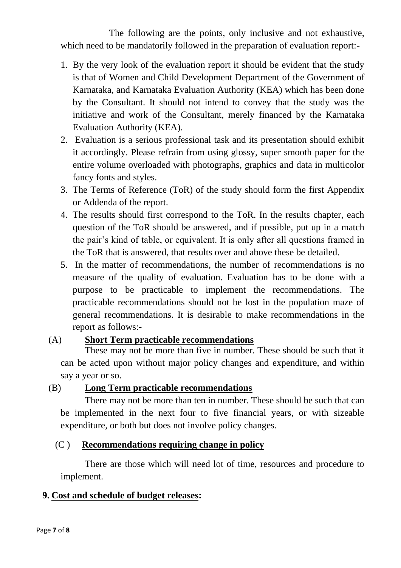The following are the points, only inclusive and not exhaustive, which need to be mandatorily followed in the preparation of evaluation report:-

- 1. By the very look of the evaluation report it should be evident that the study is that of Women and Child Development Department of the Government of Karnataka, and Karnataka Evaluation Authority (KEA) which has been done by the Consultant. It should not intend to convey that the study was the initiative and work of the Consultant, merely financed by the Karnataka Evaluation Authority (KEA).
- 2. Evaluation is a serious professional task and its presentation should exhibit it accordingly. Please refrain from using glossy, super smooth paper for the entire volume overloaded with photographs, graphics and data in multicolor fancy fonts and styles.
- 3. The Terms of Reference (ToR) of the study should form the first Appendix or Addenda of the report.
- 4. The results should first correspond to the ToR. In the results chapter, each question of the ToR should be answered, and if possible, put up in a match the pair's kind of table, or equivalent. It is only after all questions framed in the ToR that is answered, that results over and above these be detailed.
- 5. In the matter of recommendations, the number of recommendations is no measure of the quality of evaluation. Evaluation has to be done with a purpose to be practicable to implement the recommendations. The practicable recommendations should not be lost in the population maze of general recommendations. It is desirable to make recommendations in the report as follows:-

## (A) **Short Term practicable recommendations**

These may not be more than five in number. These should be such that it can be acted upon without major policy changes and expenditure, and within say a year or so.

#### (B) **Long Term practicable recommendations**

There may not be more than ten in number. These should be such that can be implemented in the next four to five financial years, or with sizeable expenditure, or both but does not involve policy changes.

#### (C ) **Recommendations requiring change in policy**

There are those which will need lot of time, resources and procedure to implement.

## **9. Cost and schedule of budget releases:**